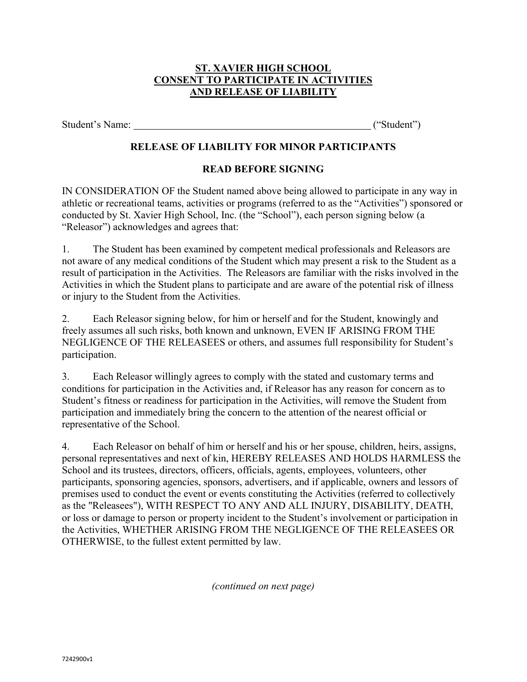## ST. XAVIER HIGH SCHOOL CONSENT TO PARTICIPATE IN ACTIVITIES AND RELEASE OF LIABILITY

Student's Name: ("Student")

## RELEASE OF LIABILITY FOR MINOR PARTICIPANTS

## READ BEFORE SIGNING

IN CONSIDERATION OF the Student named above being allowed to participate in any way in athletic or recreational teams, activities or programs (referred to as the "Activities") sponsored or conducted by St. Xavier High School, Inc. (the "School"), each person signing below (a "Releasor") acknowledges and agrees that:

1. The Student has been examined by competent medical professionals and Releasors are not aware of any medical conditions of the Student which may present a risk to the Student as a result of participation in the Activities. The Releasors are familiar with the risks involved in the Activities in which the Student plans to participate and are aware of the potential risk of illness or injury to the Student from the Activities.

2. Each Releasor signing below, for him or herself and for the Student, knowingly and freely assumes all such risks, both known and unknown, EVEN IF ARISING FROM THE NEGLIGENCE OF THE RELEASEES or others, and assumes full responsibility for Student's participation.

3. Each Releasor willingly agrees to comply with the stated and customary terms and conditions for participation in the Activities and, if Releasor has any reason for concern as to Student's fitness or readiness for participation in the Activities, will remove the Student from participation and immediately bring the concern to the attention of the nearest official or representative of the School.

4. Each Releasor on behalf of him or herself and his or her spouse, children, heirs, assigns, personal representatives and next of kin, HEREBY RELEASES AND HOLDS HARMLESS the School and its trustees, directors, officers, officials, agents, employees, volunteers, other participants, sponsoring agencies, sponsors, advertisers, and if applicable, owners and lessors of premises used to conduct the event or events constituting the Activities (referred to collectively as the "Releasees"), WITH RESPECT TO ANY AND ALL INJURY, DISABILITY, DEATH, or loss or damage to person or property incident to the Student's involvement or participation in the Activities, WHETHER ARISING FROM THE NEGLIGENCE OF THE RELEASEES OR OTHERWISE, to the fullest extent permitted by law.

(continued on next page)